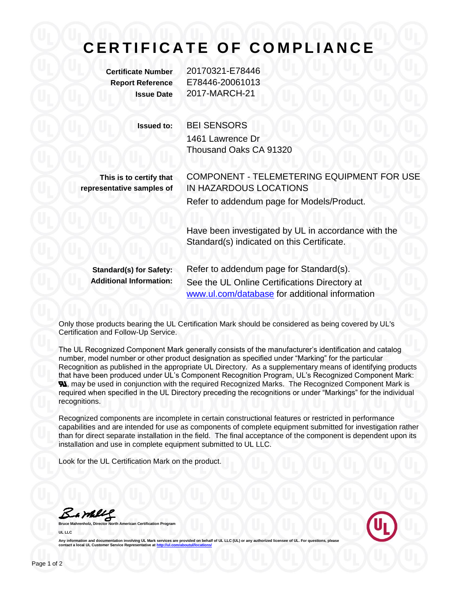## **C E R T I F I C A T E O F C O M P L I A N C E**

**Certificate Number** 20170321-E78446 **Report Reference** E78446-20061013 **Issue Date** 2017-MARCH-21

**Issued to:** BEI SENSORS 1461 Lawrence Dr Thousand Oaks CA 91320

**This is to certify that representative samples of**

COMPONENT - TELEMETERING EQUIPMENT FOR USE IN HAZARDOUS LOCATIONS Refer to addendum page for Models/Product.

Have been investigated by UL in accordance with the Standard(s) indicated on this Certificate.

**Standard(s) for Safety:** Refer to addendum page for Standard(s). **Additional Information:** See the UL Online Certifications Directory at [www.ul.com/database](http://www.ul.com/database) for additional information

Only those products bearing the UL Certification Mark should be considered as being covered by UL's Certification and Follow-Up Service.

The UL Recognized Component Mark generally consists of the manufacturer's identification and catalog number, model number or other product designation as specified under "Marking" for the particular Recognition as published in the appropriate UL Directory. As a supplementary means of identifying products that have been produced under UL's Component Recognition Program, UL's Recognized Component Mark: **N**, may be used in conjunction with the required Recognized Marks. The Recognized Component Mark is required when specified in the UL Directory preceding the recognitions or under "Markings" for the individual recognitions.

Recognized components are incomplete in certain constructional features or restricted in performance capabilities and are intended for use as components of complete equipment submitted for investigation rather than for direct separate installation in the field. The final acceptance of the component is dependent upon its installation and use in complete equipment submitted to UL LLC.

Look for the UL Certification Mark on the product.

Barbles

**American Certification Program UL LLC**



Any information and documentation involving UL Mark services are provided on behalf of UL LLC (UL) or any authorized licensee of UL. For questions, please<br>contact a local UL Customer Service Representative at <u>http://ul.co</u>